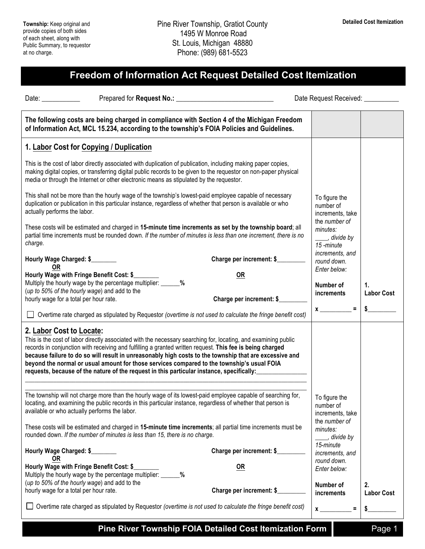## **Freedom of Information Act Request Detailed Cost Itemization**

Date: \_\_\_\_\_\_\_\_\_\_\_\_\_\_\_ Prepared for **Request No.:** \_\_\_\_\_\_\_\_\_\_\_\_\_\_\_\_\_\_\_\_\_\_\_\_\_\_\_\_\_\_\_\_ Date Request Received: \_\_\_\_\_\_\_\_\_\_

| The following costs are being charged in compliance with Section 4 of the Michigan Freedom<br>of Information Act, MCL 15.234, according to the township's FOIA Policies and Guidelines.                                                                                                                                                                                                                                                                                                                                                                      |                                        |                                                                                                        |                         |
|--------------------------------------------------------------------------------------------------------------------------------------------------------------------------------------------------------------------------------------------------------------------------------------------------------------------------------------------------------------------------------------------------------------------------------------------------------------------------------------------------------------------------------------------------------------|----------------------------------------|--------------------------------------------------------------------------------------------------------|-------------------------|
| 1. Labor Cost for Copying / Duplication                                                                                                                                                                                                                                                                                                                                                                                                                                                                                                                      |                                        |                                                                                                        |                         |
| This is the cost of labor directly associated with duplication of publication, including making paper copies,<br>making digital copies, or transferring digital public records to be given to the requestor on non-paper physical<br>media or through the Internet or other electronic means as stipulated by the requestor.                                                                                                                                                                                                                                 |                                        |                                                                                                        |                         |
| This shall not be more than the hourly wage of the township's lowest-paid employee capable of necessary<br>duplication or publication in this particular instance, regardless of whether that person is available or who<br>actually performs the labor.                                                                                                                                                                                                                                                                                                     |                                        | To figure the<br>number of<br>increments, take<br>the number of<br>minutes:<br>divide by_<br>15-minute |                         |
| These costs will be estimated and charged in 15-minute time increments as set by the township board; all<br>partial time increments must be rounded down. If the number of minutes is less than one increment, there is no<br>charge.                                                                                                                                                                                                                                                                                                                        |                                        |                                                                                                        |                         |
| Hourly Wage Charged: \$<br>OR                                                                                                                                                                                                                                                                                                                                                                                                                                                                                                                                | Charge per increment: \$               | increments, and<br>round down.                                                                         |                         |
| Hourly Wage with Fringe Benefit Cost: \$<br>Multiply the hourly wage by the percentage multiplier: _______ %<br>(up to 50% of the hourly wage) and add to the<br>hourly wage for a total per hour rate.                                                                                                                                                                                                                                                                                                                                                      | <b>OR</b><br>Charge per increment: \$_ | Enter below:<br>Number of<br>increments                                                                | 1.<br><b>Labor Cost</b> |
| Overtime rate charged as stipulated by Requestor (overtime is not used to calculate the fringe benefit cost)                                                                                                                                                                                                                                                                                                                                                                                                                                                 |                                        |                                                                                                        |                         |
| 2. Labor Cost to Locate:<br>This is the cost of labor directly associated with the necessary searching for, locating, and examining public<br>records in conjunction with receiving and fulfilling a granted written request. This fee is being charged<br>because failure to do so will result in unreasonably high costs to the township that are excessive and<br>beyond the normal or usual amount for those services compared to the township's usual FOIA<br>requests, because of the nature of the request in this particular instance, specifically: |                                        |                                                                                                        |                         |
| The township will not charge more than the hourly wage of its lowest-paid employee capable of searching for,<br>locating, and examining the public records in this particular instance, regardless of whether that person is<br>available or who actually performs the labor.                                                                                                                                                                                                                                                                                |                                        | To figure the<br>number of<br>increments, take<br>the number of                                        |                         |
| These costs will be estimated and charged in 15-minute time increments; all partial time increments must be<br>rounded down. If the number of minutes is less than 15, there is no charge.                                                                                                                                                                                                                                                                                                                                                                   |                                        | minutes:<br>_, divide by                                                                               |                         |
| Hourly Wage Charged: \$<br><b>OR</b>                                                                                                                                                                                                                                                                                                                                                                                                                                                                                                                         | Charge per increment: \$               | 15-minute<br>increments, and                                                                           |                         |
| Hourly Wage with Fringe Benefit Cost: \$_<br>Multiply the hourly wage by the percentage multiplier:<br>%<br>(up to 50% of the hourly wage) and add to the<br>hourly wage for a total per hour rate.                                                                                                                                                                                                                                                                                                                                                          | <u>OR</u><br>Charge per increment: \$  | round down.<br>Enter below:<br>Number of                                                               | 2.                      |
| Overtime rate charged as stipulated by Requestor (overtime is not used to calculate the fringe benefit cost)                                                                                                                                                                                                                                                                                                                                                                                                                                                 |                                        | increments<br>$\equiv$<br>$x \overline{\phantom{a}}$                                                   | <b>Labor Cost</b><br>\$ |
|                                                                                                                                                                                                                                                                                                                                                                                                                                                                                                                                                              |                                        |                                                                                                        |                         |

**Pine River Township FOIA Detailed Cost Itemization Form** Page 1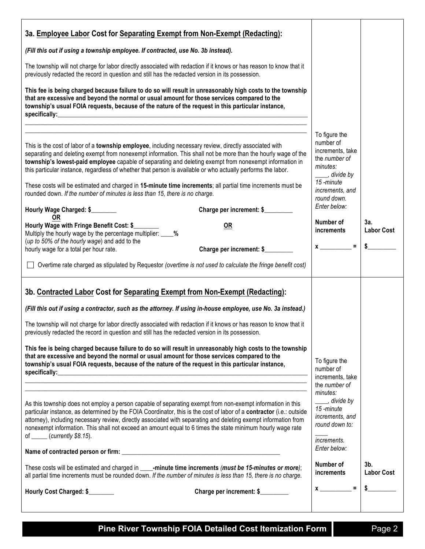| 3a. Employee Labor Cost for Separating Exempt from Non-Exempt (Redacting):                                                                                                                                                                                                                                                                                                                                                                                                                                                                                                                                                                                                                                                                                                                                                             |                                                                                                                                                                                                 |                          |
|----------------------------------------------------------------------------------------------------------------------------------------------------------------------------------------------------------------------------------------------------------------------------------------------------------------------------------------------------------------------------------------------------------------------------------------------------------------------------------------------------------------------------------------------------------------------------------------------------------------------------------------------------------------------------------------------------------------------------------------------------------------------------------------------------------------------------------------|-------------------------------------------------------------------------------------------------------------------------------------------------------------------------------------------------|--------------------------|
| (Fill this out if using a township employee. If contracted, use No. 3b instead).                                                                                                                                                                                                                                                                                                                                                                                                                                                                                                                                                                                                                                                                                                                                                       |                                                                                                                                                                                                 |                          |
| The township will not charge for labor directly associated with redaction if it knows or has reason to know that it<br>previously redacted the record in question and still has the redacted version in its possession.                                                                                                                                                                                                                                                                                                                                                                                                                                                                                                                                                                                                                |                                                                                                                                                                                                 |                          |
| This fee is being charged because failure to do so will result in unreasonably high costs to the township<br>that are excessive and beyond the normal or usual amount for those services compared to the<br>township's usual FOIA requests, because of the nature of the request in this particular instance,                                                                                                                                                                                                                                                                                                                                                                                                                                                                                                                          |                                                                                                                                                                                                 |                          |
| This is the cost of labor of a township employee, including necessary review, directly associated with<br>separating and deleting exempt from nonexempt information. This shall not be more than the hourly wage of the<br>township's lowest-paid employee capable of separating and deleting exempt from nonexempt information in<br>this particular instance, regardless of whether that person is available or who actually performs the labor.<br>These costs will be estimated and charged in 15-minute time increments; all partial time increments must be<br>rounded down. If the number of minutes is less than 15, there is no charge.<br>Hourly Wage Charged: \$<br>Charge per increment: \$<br>0R<br>Hourly Wage with Fringe Benefit Cost: \$<br><b>OR</b><br>Multiply the hourly wage by the percentage multiplier: ____% | To figure the<br>number of<br>increments, take<br>the number of<br>minutes:<br>____, divide by<br>15-minute<br>increments, and<br>round down.<br>Enter below:<br>Number of<br><i>increments</i> | 3a.<br><b>Labor Cost</b> |
| (up to 50% of the hourly wage) and add to the<br>Charge per increment: \$<br>hourly wage for a total per hour rate.                                                                                                                                                                                                                                                                                                                                                                                                                                                                                                                                                                                                                                                                                                                    | $x \overline{\phantom{a}} =$                                                                                                                                                                    | $\frac{1}{2}$            |
| □ Overtime rate charged as stipulated by Requestor (overtime is not used to calculate the fringe benefit cost)                                                                                                                                                                                                                                                                                                                                                                                                                                                                                                                                                                                                                                                                                                                         |                                                                                                                                                                                                 |                          |
| 3b. Contracted Labor Cost for Separating Exempt from Non-Exempt (Redacting):<br>(Fill this out if using a contractor, such as the attorney. If using in-house employee, use No. 3a instead.)<br>The township will not charge for labor directly associated with redaction if it knows or has reason to know that it<br>previously redacted the record in question and still has the redacted version in its possession.<br>This fee is being charged because failure to do so will result in unreasonably high costs to the township<br>that are excessive and beyond the normal or usual amount for those services compared to the<br>To figure the<br>township's usual FOIA requests, because of the nature of the request in this particular instance,<br>number of<br>increments, take<br>the number of                            |                                                                                                                                                                                                 |                          |
| As this township does not employ a person capable of separating exempt from non-exempt information in this<br>particular instance, as determined by the FOIA Coordinator, this is the cost of labor of a contractor (i.e.: outside<br>attorney), including necessary review, directly associated with separating and deleting exempt information from<br>nonexempt information. This shall not exceed an amount equal to 6 times the state minimum hourly wage rate<br>of $\frac{\cdot}{\cdot}$ (currently \$8.15).<br>These costs will be estimated and charged in _____-minute time increments (must be 15-minutes or more);<br>all partial time increments must be rounded down. If the number of minutes is less than 15, there is no charge.                                                                                      | minutes:<br>__, divide by<br>15-minute<br>increments, and<br>round down to:<br><i>increments.</i><br>Enter below:<br>Number of<br><i>increments</i>                                             | 3b.<br><b>Labor Cost</b> |
| Hourly Cost Charged: \$<br>Charge per increment: \$                                                                                                                                                                                                                                                                                                                                                                                                                                                                                                                                                                                                                                                                                                                                                                                    | $\equiv$<br>$x_{\underline{\hspace{1cm}}\phantom{1}}$                                                                                                                                           | \$                       |
|                                                                                                                                                                                                                                                                                                                                                                                                                                                                                                                                                                                                                                                                                                                                                                                                                                        |                                                                                                                                                                                                 |                          |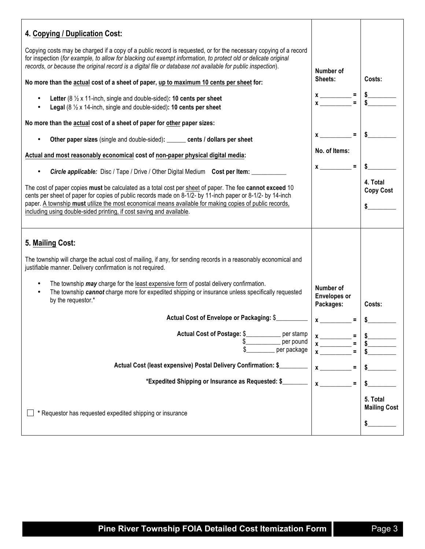| 4. Copying / Duplication Cost:                                                                                                                                                                                                                                                                                                                                                                            |                    |                                       |
|-----------------------------------------------------------------------------------------------------------------------------------------------------------------------------------------------------------------------------------------------------------------------------------------------------------------------------------------------------------------------------------------------------------|--------------------|---------------------------------------|
| Copying costs may be charged if a copy of a public record is requested, or for the necessary copying of a record<br>for inspection (for example, to allow for blacking out exempt information, to protect old or delicate original<br>records, or because the original record is a digital file or database not available for public inspection).                                                         |                    |                                       |
| No more than the actual cost of a sheet of paper, up to maximum 10 cents per sheet for:                                                                                                                                                                                                                                                                                                                   |                    | Costs:                                |
| Letter (8 $\frac{1}{2}$ x 11-inch, single and double-sided): 10 cents per sheet<br>Legal $(8 \frac{1}{2} \times 14$ -inch, single and double-sided): 10 cents per sheet                                                                                                                                                                                                                                   | $x \overline{) =}$ |                                       |
| No more than the actual cost of a sheet of paper for other paper sizes:                                                                                                                                                                                                                                                                                                                                   |                    |                                       |
| Other paper sizes (single and double-sided): ______ cents / dollars per sheet                                                                                                                                                                                                                                                                                                                             | $=$ $\blacksquare$ | \$                                    |
| Actual and most reasonably economical cost of non-paper physical digital media:                                                                                                                                                                                                                                                                                                                           | No. of Items:      |                                       |
| <b>Circle applicable:</b> Disc / Tape / Drive / Other Digital Medium Cost per Item:<br>$\bullet$                                                                                                                                                                                                                                                                                                          | $x \sim$ =         |                                       |
| The cost of paper copies must be calculated as a total cost per sheet of paper. The fee cannot exceed 10<br>cents per sheet of paper for copies of public records made on 8-1/2- by 11-inch paper or 8-1/2- by 14-inch<br>paper. A township must utilize the most economical means available for making copies of public records,<br>including using double-sided printing, if cost saving and available. |                    | 4. Total<br><b>Copy Cost</b>          |
| 5. Mailing Cost:<br>The township will charge the actual cost of mailing, if any, for sending records in a reasonably economical and<br>justifiable manner. Delivery confirmation is not required.                                                                                                                                                                                                         |                    |                                       |
| The township may charge for the least expensive form of postal delivery confirmation.<br>$\bullet$<br>The township cannot charge more for expedited shipping or insurance unless specifically requested<br>$\bullet$<br>by the requestor.*                                                                                                                                                                |                    | Costs:                                |
| Actual Cost of Envelope or Packaging: \$                                                                                                                                                                                                                                                                                                                                                                  |                    | \$                                    |
| Actual Cost of Postage: \$<br>per stamp<br>per pound<br>\$<br>per package                                                                                                                                                                                                                                                                                                                                 | $x$ <sub>---</sub> |                                       |
| Actual Cost (least expensive) Postal Delivery Confirmation: \$                                                                                                                                                                                                                                                                                                                                            |                    |                                       |
| *Expedited Shipping or Insurance as Requested: \$                                                                                                                                                                                                                                                                                                                                                         |                    |                                       |
| * Requestor has requested expedited shipping or insurance                                                                                                                                                                                                                                                                                                                                                 |                    | 5. Total<br><b>Mailing Cost</b><br>\$ |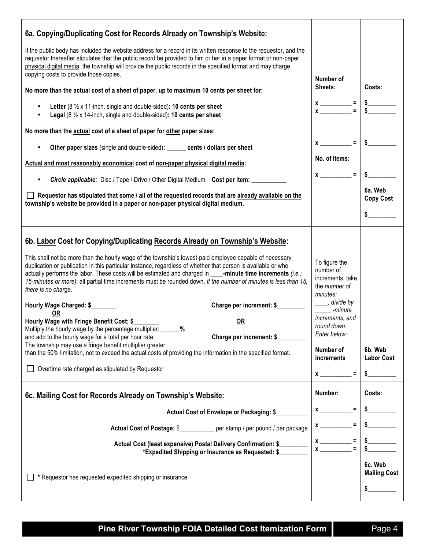| 6a. Copying/Duplicating Cost for Records Already on Township's Website:                                                                                                                                                                                                                                                                                                                                                                                                                                                                                                                                                                                                                                                                                                                                                                                                                                                                                                                                                                                                            |                                                                                                                                                                                                                                                                                                                                                                                                                                                                                                                                                                                                                                                                     |                                       |
|------------------------------------------------------------------------------------------------------------------------------------------------------------------------------------------------------------------------------------------------------------------------------------------------------------------------------------------------------------------------------------------------------------------------------------------------------------------------------------------------------------------------------------------------------------------------------------------------------------------------------------------------------------------------------------------------------------------------------------------------------------------------------------------------------------------------------------------------------------------------------------------------------------------------------------------------------------------------------------------------------------------------------------------------------------------------------------|---------------------------------------------------------------------------------------------------------------------------------------------------------------------------------------------------------------------------------------------------------------------------------------------------------------------------------------------------------------------------------------------------------------------------------------------------------------------------------------------------------------------------------------------------------------------------------------------------------------------------------------------------------------------|---------------------------------------|
| If the public body has included the website address for a record in its written response to the requestor, and the<br>requestor thereafter stipulates that the public record be provided to him or her in a paper format or non-paper<br>physical digital media, the township will provide the public records in the specified format and may charge<br>copying costs to provide those copies.                                                                                                                                                                                                                                                                                                                                                                                                                                                                                                                                                                                                                                                                                     |                                                                                                                                                                                                                                                                                                                                                                                                                                                                                                                                                                                                                                                                     |                                       |
| No more than the actual cost of a sheet of paper, up to maximum 10 cents per sheet for:                                                                                                                                                                                                                                                                                                                                                                                                                                                                                                                                                                                                                                                                                                                                                                                                                                                                                                                                                                                            | Number of<br>Sheets:                                                                                                                                                                                                                                                                                                                                                                                                                                                                                                                                                                                                                                                | Costs:                                |
| Letter ( $8\frac{1}{2}$ x 11-inch, single and double-sided): 10 cents per sheet<br><b>Legal</b> ( $8\frac{1}{2}$ x 14-inch, single and double-sided): <b>10 cents per sheet</b>                                                                                                                                                                                                                                                                                                                                                                                                                                                                                                                                                                                                                                                                                                                                                                                                                                                                                                    |                                                                                                                                                                                                                                                                                                                                                                                                                                                                                                                                                                                                                                                                     |                                       |
| No more than the actual cost of a sheet of paper for other paper sizes:                                                                                                                                                                                                                                                                                                                                                                                                                                                                                                                                                                                                                                                                                                                                                                                                                                                                                                                                                                                                            |                                                                                                                                                                                                                                                                                                                                                                                                                                                                                                                                                                                                                                                                     |                                       |
| Other paper sizes (single and double-sided): ______ cents / dollars per sheet                                                                                                                                                                                                                                                                                                                                                                                                                                                                                                                                                                                                                                                                                                                                                                                                                                                                                                                                                                                                      | $\equiv$<br>$x_{-}$                                                                                                                                                                                                                                                                                                                                                                                                                                                                                                                                                                                                                                                 |                                       |
| Actual and most reasonably economical cost of non-paper physical digital media:                                                                                                                                                                                                                                                                                                                                                                                                                                                                                                                                                                                                                                                                                                                                                                                                                                                                                                                                                                                                    | No. of Items:                                                                                                                                                                                                                                                                                                                                                                                                                                                                                                                                                                                                                                                       |                                       |
| <b>Circle applicable:</b> Disc / Tape / Drive / Other Digital Medium Cost per Item:<br>$\bullet$                                                                                                                                                                                                                                                                                                                                                                                                                                                                                                                                                                                                                                                                                                                                                                                                                                                                                                                                                                                   | $x \sim$ =                                                                                                                                                                                                                                                                                                                                                                                                                                                                                                                                                                                                                                                          |                                       |
| Requestor has stipulated that some / all of the requested records that are already available on the<br>township's website be provided in a paper or non-paper physical digital medium.                                                                                                                                                                                                                                                                                                                                                                                                                                                                                                                                                                                                                                                                                                                                                                                                                                                                                             |                                                                                                                                                                                                                                                                                                                                                                                                                                                                                                                                                                                                                                                                     | 6a. Web<br><b>Copy Cost</b>           |
|                                                                                                                                                                                                                                                                                                                                                                                                                                                                                                                                                                                                                                                                                                                                                                                                                                                                                                                                                                                                                                                                                    |                                                                                                                                                                                                                                                                                                                                                                                                                                                                                                                                                                                                                                                                     |                                       |
| 6b. Labor Cost for Copying/Duplicating Records Already on Township's Website:<br>This shall not be more than the hourly wage of the township's lowest-paid employee capable of necessary<br>duplication or publication in this particular instance, regardless of whether that person is available or who<br>actually performs the labor. These costs will be estimated and charged in ____-minute time increments (i.e.:<br>15-minutes or more); all partial time increments must be rounded down. If the number of minutes is less than 15,<br>there is no charge.<br>Charge per increment: \$<br>Hourly Wage Charged: \$<br>0R<br>Hourly Wage with Fringe Benefit Cost: \$<br><b>OR</b><br>Multiply the hourly wage by the percentage multiplier: ______%<br>Charge per increment: \$<br>and add to the hourly wage for a total per hour rate.<br>The township may use a fringe benefit multiplier greater<br>than the 50% limitation, not to exceed the actual costs of providing the information in the specified format.<br>Overtime rate charged as stipulated by Requestor | To figure the<br>number of<br>increments, take<br>the number of<br>minutes:<br>____, divide by<br>-minute<br>increments, and<br>round down.<br>Enter below:<br>Number of<br>increments<br>$\equiv$<br>$\boldsymbol{\mathsf{x}}$ and $\boldsymbol{\mathsf{x}}$ and $\boldsymbol{\mathsf{x}}$ and $\boldsymbol{\mathsf{x}}$ and $\boldsymbol{\mathsf{x}}$ and $\boldsymbol{\mathsf{x}}$ and $\boldsymbol{\mathsf{x}}$ and $\boldsymbol{\mathsf{x}}$ and $\boldsymbol{\mathsf{x}}$ and $\boldsymbol{\mathsf{x}}$ and $\boldsymbol{\mathsf{x}}$ and $\boldsymbol{\mathsf{x}}$ and $\boldsymbol{\mathsf{x}}$ and $\boldsymbol{\mathsf{x}}$ and $\boldsymbol{\mathsf{x}}$ | 6b. Web<br><b>Labor Cost</b><br>\$    |
| 6c. Mailing Cost for Records Already on Township's Website:                                                                                                                                                                                                                                                                                                                                                                                                                                                                                                                                                                                                                                                                                                                                                                                                                                                                                                                                                                                                                        |                                                                                                                                                                                                                                                                                                                                                                                                                                                                                                                                                                                                                                                                     | Costs:                                |
| Actual Cost of Envelope or Packaging: \$_                                                                                                                                                                                                                                                                                                                                                                                                                                                                                                                                                                                                                                                                                                                                                                                                                                                                                                                                                                                                                                          | $\equiv$<br>$\boldsymbol{x}$                                                                                                                                                                                                                                                                                                                                                                                                                                                                                                                                                                                                                                        |                                       |
| Actual Cost of Postage: \$____________ per stamp / per pound / per package                                                                                                                                                                                                                                                                                                                                                                                                                                                                                                                                                                                                                                                                                                                                                                                                                                                                                                                                                                                                         | Ξ                                                                                                                                                                                                                                                                                                                                                                                                                                                                                                                                                                                                                                                                   |                                       |
| Actual Cost (least expensive) Postal Delivery Confirmation: \$<br>*Expedited Shipping or Insurance as Requested: \$                                                                                                                                                                                                                                                                                                                                                                                                                                                                                                                                                                                                                                                                                                                                                                                                                                                                                                                                                                | Ξ<br>$\blacksquare$                                                                                                                                                                                                                                                                                                                                                                                                                                                                                                                                                                                                                                                 |                                       |
| * Requestor has requested expedited shipping or insurance                                                                                                                                                                                                                                                                                                                                                                                                                                                                                                                                                                                                                                                                                                                                                                                                                                                                                                                                                                                                                          |                                                                                                                                                                                                                                                                                                                                                                                                                                                                                                                                                                                                                                                                     | 6c. Web<br><b>Mailing Cost</b><br>\$_ |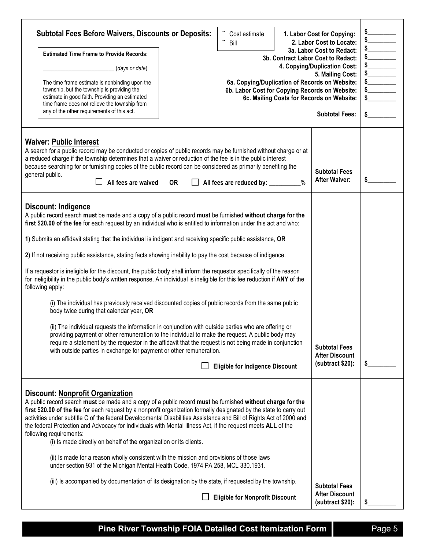| <b>Subtotal Fees Before Waivers, Discounts or Deposits:</b><br><b>Estimated Time Frame to Provide Records:</b><br>(days or date)<br>The time frame estimate is nonbinding upon the<br>township, but the township is providing the<br>estimate in good faith. Providing an estimated<br>time frame does not relieve the township from<br>any of the other requirements of this act.                                                                                                                                                                                                                                                                                                                                                                                                                                                                                                                                                                                                                                                                                                                                                                                                                                                                                                                               |           | Cost estimate<br>Bill<br>6a. Copying/Duplication of Records on Website:<br>6b. Labor Cost for Copying Records on Website: |      | 1. Labor Cost for Copying:<br>2. Labor Cost to Locate:<br>3a. Labor Cost to Redact:<br>3b. Contract Labor Cost to Redact:<br>4. Copying/Duplication Cost:<br>5. Mailing Cost:<br>6c. Mailing Costs for Records on Website:<br><b>Subtotal Fees:</b> | $\begin{array}{c}\n 5 \\ 5 \\ \hline\n 5\n \end{array}$<br>s<br>$\frac{1}{2}$<br>s<br>$\sim$<br>$\frac{1}{2}$ |
|------------------------------------------------------------------------------------------------------------------------------------------------------------------------------------------------------------------------------------------------------------------------------------------------------------------------------------------------------------------------------------------------------------------------------------------------------------------------------------------------------------------------------------------------------------------------------------------------------------------------------------------------------------------------------------------------------------------------------------------------------------------------------------------------------------------------------------------------------------------------------------------------------------------------------------------------------------------------------------------------------------------------------------------------------------------------------------------------------------------------------------------------------------------------------------------------------------------------------------------------------------------------------------------------------------------|-----------|---------------------------------------------------------------------------------------------------------------------------|------|-----------------------------------------------------------------------------------------------------------------------------------------------------------------------------------------------------------------------------------------------------|---------------------------------------------------------------------------------------------------------------|
| <b>Waiver: Public Interest</b><br>A search for a public record may be conducted or copies of public records may be furnished without charge or at<br>a reduced charge if the township determines that a waiver or reduction of the fee is in the public interest<br>because searching for or furnishing copies of the public record can be considered as primarily benefiting the<br>general public.<br>All fees are waived                                                                                                                                                                                                                                                                                                                                                                                                                                                                                                                                                                                                                                                                                                                                                                                                                                                                                      | <b>OR</b> | All fees are reduced by: _________                                                                                        | $\%$ | <b>Subtotal Fees</b><br><b>After Waiver:</b>                                                                                                                                                                                                        | S                                                                                                             |
| Discount: Indigence<br>A public record search must be made and a copy of a public record must be furnished without charge for the<br>first \$20.00 of the fee for each request by an individual who is entitled to information under this act and who:<br>1) Submits an affidavit stating that the individual is indigent and receiving specific public assistance, OR<br>2) If not receiving public assistance, stating facts showing inability to pay the cost because of indigence.<br>If a requestor is ineligible for the discount, the public body shall inform the requestor specifically of the reason<br>for ineligibility in the public body's written response. An individual is ineligible for this fee reduction if ANY of the<br>following apply:<br>(i) The individual has previously received discounted copies of public records from the same public<br>body twice during that calendar year, OR<br>(ii) The individual requests the information in conjunction with outside parties who are offering or<br>providing payment or other remuneration to the individual to make the request. A public body may<br>require a statement by the requestor in the affidavit that the request is not being made in conjunction<br>with outside parties in exchange for payment or other remuneration. |           | <b>Eligible for Indigence Discount</b>                                                                                    |      | <b>Subtotal Fees</b><br><b>After Discount</b><br>(subtract \$20):                                                                                                                                                                                   |                                                                                                               |
| <b>Discount: Nonprofit Organization</b><br>A public record search must be made and a copy of a public record must be furnished without charge for the<br>first \$20.00 of the fee for each request by a nonprofit organization formally designated by the state to carry out<br>activities under subtitle C of the federal Developmental Disabilities Assistance and Bill of Rights Act of 2000 and<br>the federal Protection and Advocacy for Individuals with Mental Illness Act, if the request meets ALL of the<br>following requirements:<br>(i) Is made directly on behalf of the organization or its clients.<br>(ii) Is made for a reason wholly consistent with the mission and provisions of those laws<br>under section 931 of the Michigan Mental Health Code, 1974 PA 258, MCL 330.1931.                                                                                                                                                                                                                                                                                                                                                                                                                                                                                                            |           |                                                                                                                           |      |                                                                                                                                                                                                                                                     |                                                                                                               |
| (iii) Is accompanied by documentation of its designation by the state, if requested by the township.                                                                                                                                                                                                                                                                                                                                                                                                                                                                                                                                                                                                                                                                                                                                                                                                                                                                                                                                                                                                                                                                                                                                                                                                             |           | <b>Eligible for Nonprofit Discount</b>                                                                                    |      | <b>Subtotal Fees</b><br><b>After Discount</b><br>(subtract \$20):                                                                                                                                                                                   |                                                                                                               |